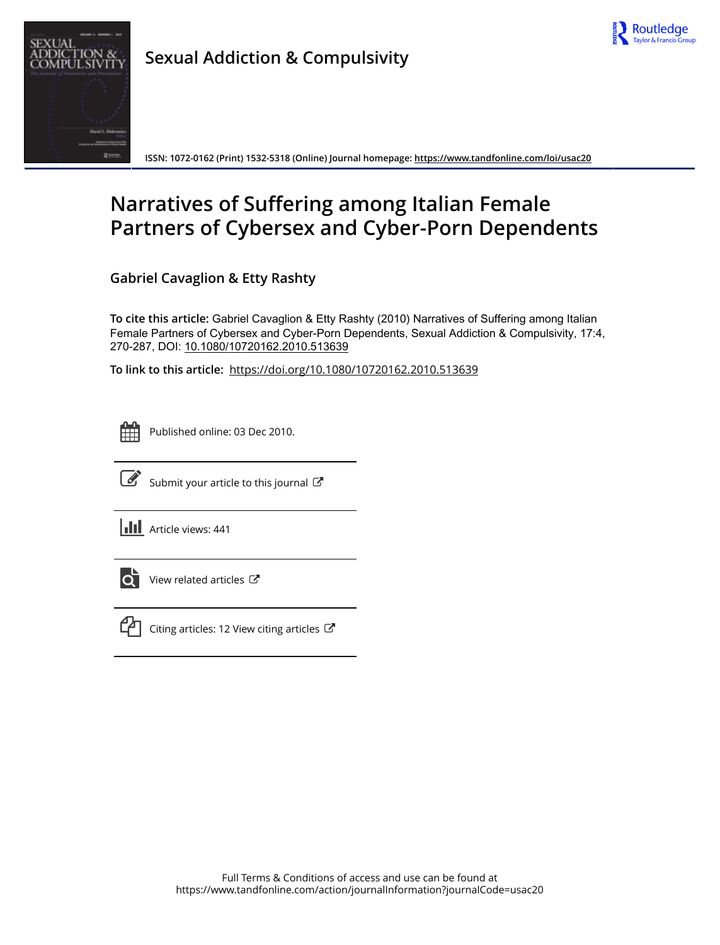



**Sexual Addiction & Compulsivity**

**ISSN: 1072-0162 (Print) 1532-5318 (Online) Journal homepage:<https://www.tandfonline.com/loi/usac20>**

# **Narratives of Suffering among Italian Female Partners of Cybersex and Cyber-Porn Dependents**

**Gabriel Cavaglion & Etty Rashty**

**To cite this article:** Gabriel Cavaglion & Etty Rashty (2010) Narratives of Suffering among Italian Female Partners of Cybersex and Cyber-Porn Dependents, Sexual Addiction & Compulsivity, 17:4, 270-287, DOI: [10.1080/10720162.2010.513639](https://www.tandfonline.com/action/showCitFormats?doi=10.1080/10720162.2010.513639)

**To link to this article:** <https://doi.org/10.1080/10720162.2010.513639>

Published online: 03 Dec 2010.



 $\overline{\mathscr{G}}$  [Submit your article to this journal](https://www.tandfonline.com/action/authorSubmission?journalCode=usac20&show=instructions)  $\mathbb{F}$ 

**III** Article views: 441



 $\overrightarrow{O}$  [View related articles](https://www.tandfonline.com/doi/mlt/10.1080/10720162.2010.513639)  $\overrightarrow{C}$ 



 $\mathbb{C}$  [Citing articles: 12 View citing articles](https://www.tandfonline.com/doi/citedby/10.1080/10720162.2010.513639#tabModule)  $\mathbb{C}$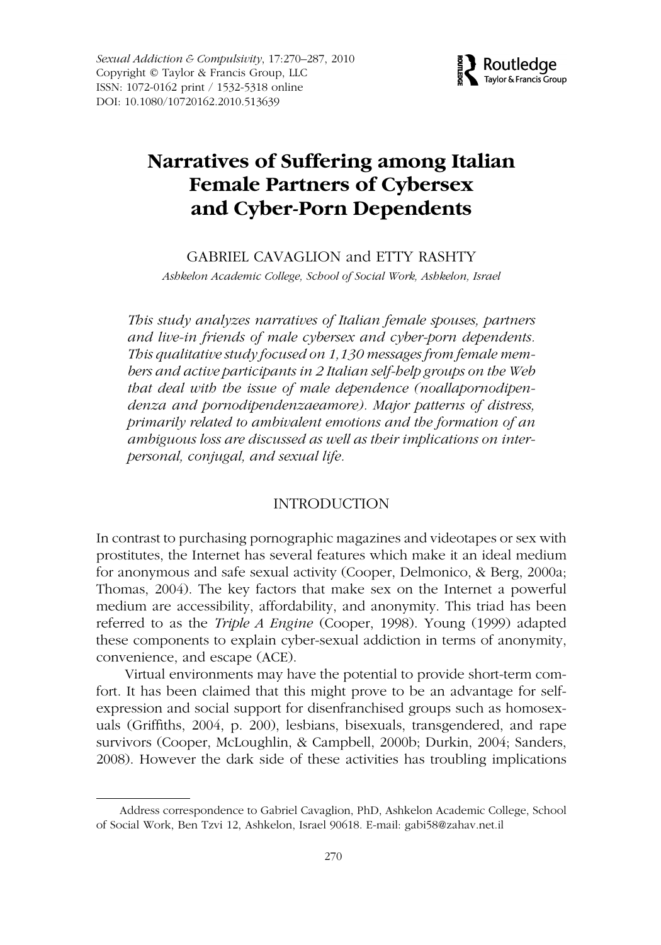

# **Narratives of Suffering among Italian Female Partners of Cybersex and Cyber-Porn Dependents**

GABRIEL CAVAGLION and ETTY RASHTY

*Ashkelon Academic College, School of Social Work, Ashkelon, Israel*

*This study analyzes narratives of Italian female spouses, partners and live-in friends of male cybersex and cyber-porn dependents. This qualitative study focused on 1,130 messages from female members and active participants in 2 Italian self-help groups on the Web that deal with the issue of male dependence (noallapornodipendenza and pornodipendenzaeamore). Major patterns of distress, primarily related to ambivalent emotions and the formation of an ambiguous loss are discussed as well as their implications on interpersonal, conjugal, and sexual life.*

# INTRODUCTION

In contrast to purchasing pornographic magazines and videotapes or sex with prostitutes, the Internet has several features which make it an ideal medium for anonymous and safe sexual activity (Cooper, Delmonico, & Berg, 2000a; Thomas, 2004). The key factors that make sex on the Internet a powerful medium are accessibility, affordability, and anonymity. This triad has been referred to as the *Triple A Engine* (Cooper, 1998). Young (1999) adapted these components to explain cyber-sexual addiction in terms of anonymity, convenience, and escape (ACE).

Virtual environments may have the potential to provide short-term comfort. It has been claimed that this might prove to be an advantage for selfexpression and social support for disenfranchised groups such as homosexuals (Griffiths, 2004, p. 200), lesbians, bisexuals, transgendered, and rape survivors (Cooper, McLoughlin, & Campbell, 2000b; Durkin, 2004; Sanders, 2008). However the dark side of these activities has troubling implications

Address correspondence to Gabriel Cavaglion, PhD, Ashkelon Academic College, School of Social Work, Ben Tzvi 12, Ashkelon, Israel 90618. E-mail: gabi58@zahav.net.il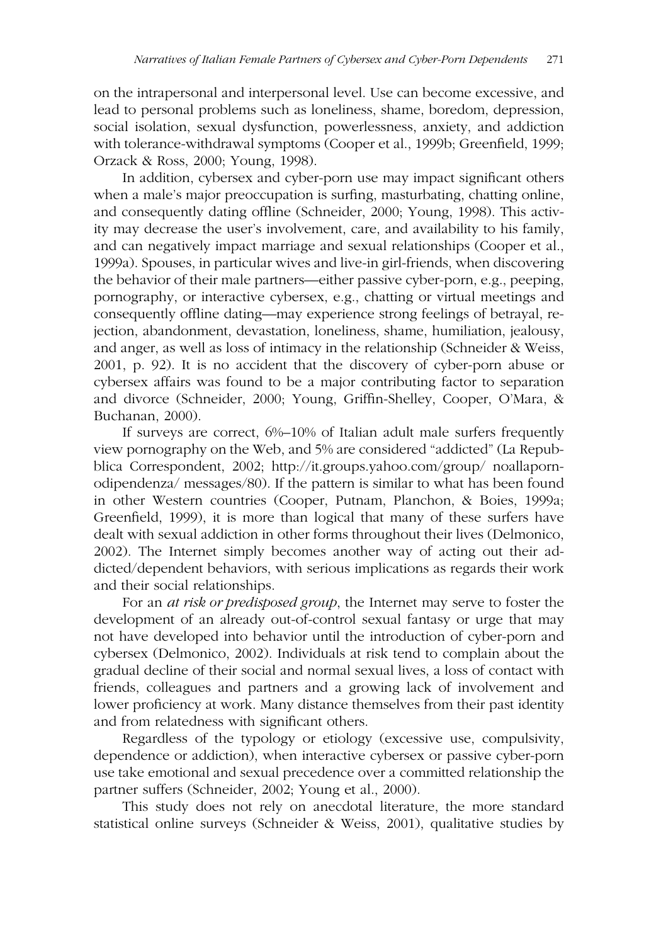on the intrapersonal and interpersonal level. Use can become excessive, and lead to personal problems such as loneliness, shame, boredom, depression, social isolation, sexual dysfunction, powerlessness, anxiety, and addiction with tolerance-withdrawal symptoms (Cooper et al., 1999b; Greenfield, 1999; Orzack & Ross, 2000; Young, 1998).

In addition, cybersex and cyber-porn use may impact significant others when a male's major preoccupation is surfing, masturbating, chatting online, and consequently dating offline (Schneider, 2000; Young, 1998). This activity may decrease the user's involvement, care, and availability to his family, and can negatively impact marriage and sexual relationships (Cooper et al., 1999a). Spouses, in particular wives and live-in girl-friends, when discovering the behavior of their male partners—either passive cyber-porn, e.g., peeping, pornography, or interactive cybersex, e.g., chatting or virtual meetings and consequently offline dating—may experience strong feelings of betrayal, rejection, abandonment, devastation, loneliness, shame, humiliation, jealousy, and anger, as well as loss of intimacy in the relationship (Schneider & Weiss, 2001, p. 92). It is no accident that the discovery of cyber-porn abuse or cybersex affairs was found to be a major contributing factor to separation and divorce (Schneider, 2000; Young, Griffin-Shelley, Cooper, O'Mara, & Buchanan, 2000).

If surveys are correct, 6%–10% of Italian adult male surfers frequently view pornography on the Web, and 5% are considered "addicted" (La Repubblica Correspondent, 2002; http://it.groups.yahoo.com/group/ noallapornodipendenza/ messages/80). If the pattern is similar to what has been found in other Western countries (Cooper, Putnam, Planchon, & Boies, 1999a; Greenfield, 1999), it is more than logical that many of these surfers have dealt with sexual addiction in other forms throughout their lives (Delmonico, 2002). The Internet simply becomes another way of acting out their addicted/dependent behaviors, with serious implications as regards their work and their social relationships.

For an *at risk or predisposed group*, the Internet may serve to foster the development of an already out-of-control sexual fantasy or urge that may not have developed into behavior until the introduction of cyber-porn and cybersex (Delmonico, 2002). Individuals at risk tend to complain about the gradual decline of their social and normal sexual lives, a loss of contact with friends, colleagues and partners and a growing lack of involvement and lower proficiency at work. Many distance themselves from their past identity and from relatedness with significant others.

Regardless of the typology or etiology (excessive use, compulsivity, dependence or addiction), when interactive cybersex or passive cyber-porn use take emotional and sexual precedence over a committed relationship the partner suffers (Schneider, 2002; Young et al., 2000).

This study does not rely on anecdotal literature, the more standard statistical online surveys (Schneider & Weiss, 2001), qualitative studies by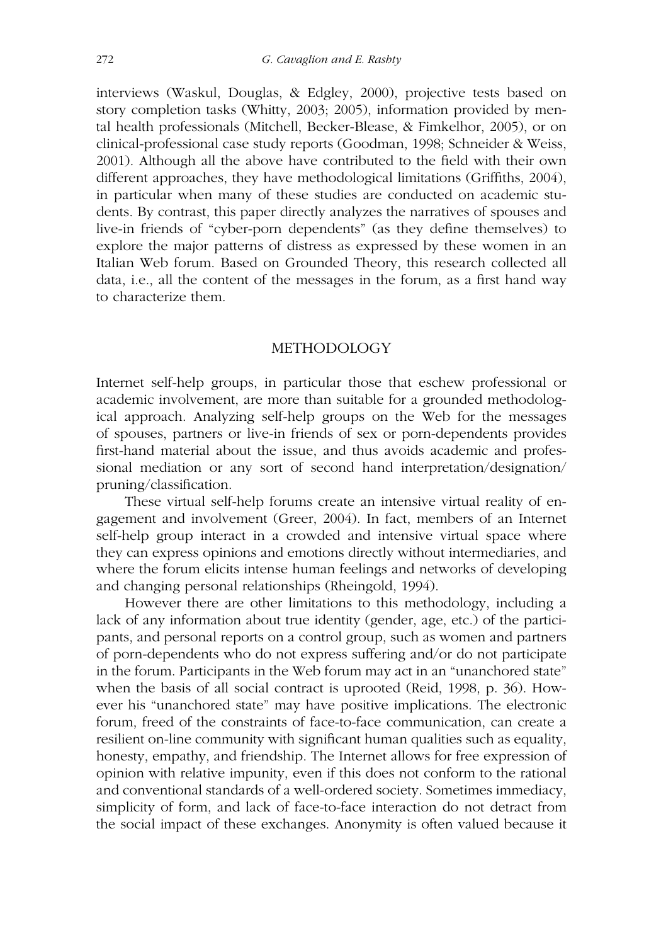interviews (Waskul, Douglas, & Edgley, 2000), projective tests based on story completion tasks (Whitty, 2003; 2005), information provided by mental health professionals (Mitchell, Becker-Blease, & Fimkelhor, 2005), or on clinical-professional case study reports (Goodman, 1998; Schneider & Weiss, 2001). Although all the above have contributed to the field with their own different approaches, they have methodological limitations (Griffiths, 2004), in particular when many of these studies are conducted on academic students. By contrast, this paper directly analyzes the narratives of spouses and live-in friends of "cyber-porn dependents" (as they define themselves) to explore the major patterns of distress as expressed by these women in an Italian Web forum. Based on Grounded Theory, this research collected all data, i.e., all the content of the messages in the forum, as a first hand way to characterize them.

## METHODOLOGY

Internet self-help groups, in particular those that eschew professional or academic involvement, are more than suitable for a grounded methodological approach. Analyzing self-help groups on the Web for the messages of spouses, partners or live-in friends of sex or porn-dependents provides first-hand material about the issue, and thus avoids academic and professional mediation or any sort of second hand interpretation/designation/ pruning/classification.

These virtual self-help forums create an intensive virtual reality of engagement and involvement (Greer, 2004). In fact, members of an Internet self-help group interact in a crowded and intensive virtual space where they can express opinions and emotions directly without intermediaries, and where the forum elicits intense human feelings and networks of developing and changing personal relationships (Rheingold, 1994).

However there are other limitations to this methodology, including a lack of any information about true identity (gender, age, etc.) of the participants, and personal reports on a control group, such as women and partners of porn-dependents who do not express suffering and/or do not participate in the forum. Participants in the Web forum may act in an "unanchored state" when the basis of all social contract is uprooted (Reid, 1998, p. 36). However his "unanchored state" may have positive implications. The electronic forum, freed of the constraints of face-to-face communication, can create a resilient on-line community with significant human qualities such as equality, honesty, empathy, and friendship. The Internet allows for free expression of opinion with relative impunity, even if this does not conform to the rational and conventional standards of a well-ordered society. Sometimes immediacy, simplicity of form, and lack of face-to-face interaction do not detract from the social impact of these exchanges. Anonymity is often valued because it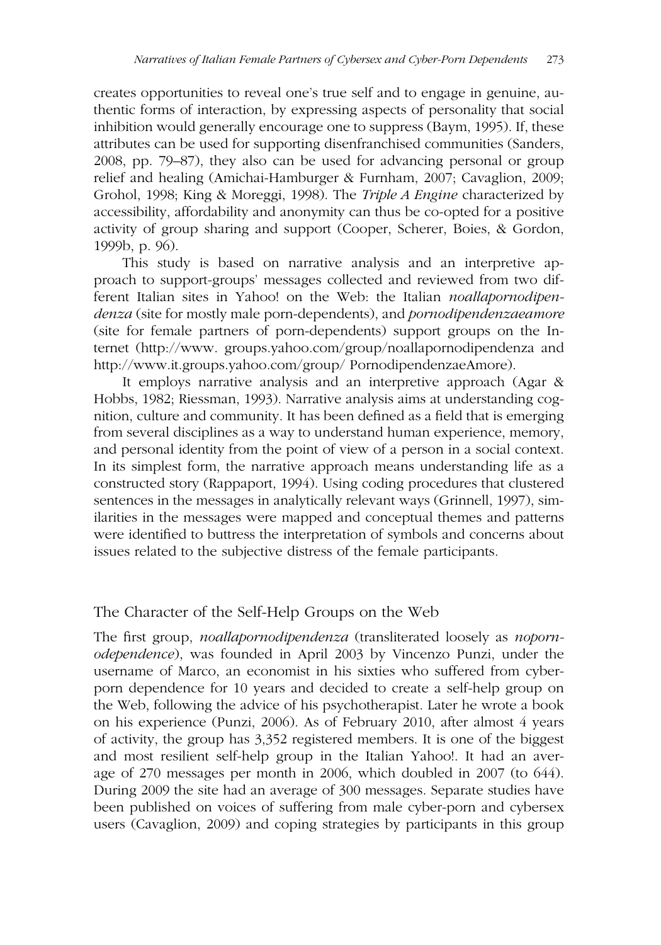creates opportunities to reveal one's true self and to engage in genuine, authentic forms of interaction, by expressing aspects of personality that social inhibition would generally encourage one to suppress (Baym, 1995). If, these attributes can be used for supporting disenfranchised communities (Sanders, 2008, pp. 79–87), they also can be used for advancing personal or group relief and healing (Amichai-Hamburger & Furnham, 2007; Cavaglion, 2009; Grohol, 1998; King & Moreggi, 1998). The *Triple A Engine* characterized by accessibility, affordability and anonymity can thus be co-opted for a positive activity of group sharing and support (Cooper, Scherer, Boies, & Gordon, 1999b, p. 96).

This study is based on narrative analysis and an interpretive approach to support-groups' messages collected and reviewed from two different Italian sites in Yahoo! on the Web: the Italian *noallapornodipendenza* (site for mostly male porn-dependents), and *pornodipendenzaeamore* (site for female partners of porn-dependents) support groups on the Internet (http://www. groups.yahoo.com/group/noallapornodipendenza and http://www.it.groups.yahoo.com/group/ PornodipendenzaeAmore).

It employs narrative analysis and an interpretive approach (Agar & Hobbs, 1982; Riessman, 1993). Narrative analysis aims at understanding cognition, culture and community. It has been defined as a field that is emerging from several disciplines as a way to understand human experience, memory, and personal identity from the point of view of a person in a social context. In its simplest form, the narrative approach means understanding life as a constructed story (Rappaport, 1994). Using coding procedures that clustered sentences in the messages in analytically relevant ways (Grinnell, 1997), similarities in the messages were mapped and conceptual themes and patterns were identified to buttress the interpretation of symbols and concerns about issues related to the subjective distress of the female participants.

# The Character of the Self-Help Groups on the Web

The first group, *noallapornodipendenza* (transliterated loosely as *nopornodependence*), was founded in April 2003 by Vincenzo Punzi, under the username of Marco, an economist in his sixties who suffered from cyberporn dependence for 10 years and decided to create a self-help group on the Web, following the advice of his psychotherapist. Later he wrote a book on his experience (Punzi, 2006). As of February 2010, after almost 4 years of activity, the group has 3,352 registered members. It is one of the biggest and most resilient self-help group in the Italian Yahoo!. It had an average of 270 messages per month in 2006, which doubled in 2007 (to 644). During 2009 the site had an average of 300 messages. Separate studies have been published on voices of suffering from male cyber-porn and cybersex users (Cavaglion, 2009) and coping strategies by participants in this group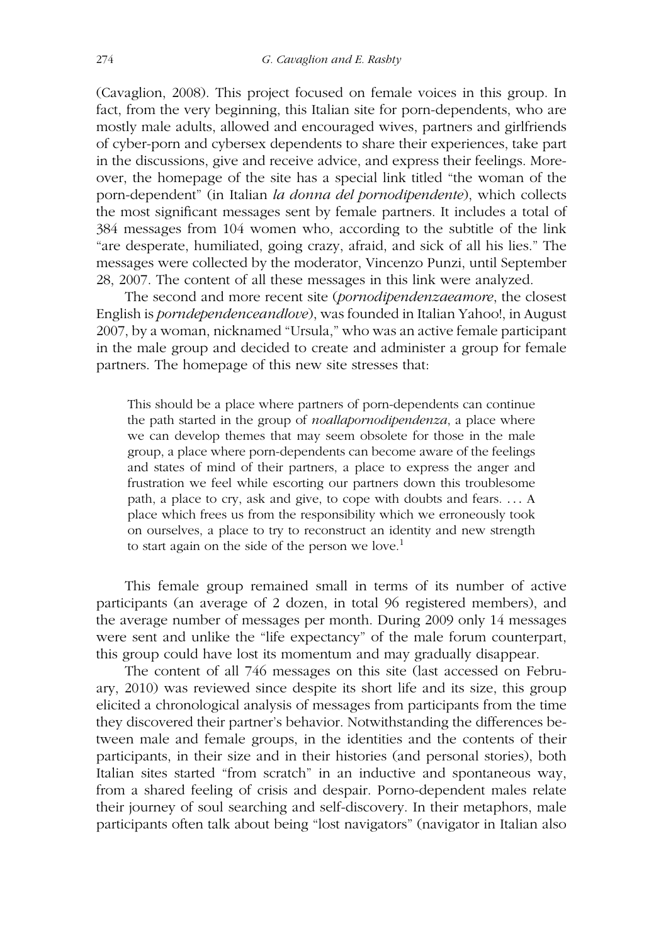(Cavaglion, 2008). This project focused on female voices in this group. In fact, from the very beginning, this Italian site for porn-dependents, who are mostly male adults, allowed and encouraged wives, partners and girlfriends of cyber-porn and cybersex dependents to share their experiences, take part in the discussions, give and receive advice, and express their feelings. Moreover, the homepage of the site has a special link titled "the woman of the porn-dependent" (in Italian *la donna del pornodipendente*), which collects the most significant messages sent by female partners. It includes a total of 384 messages from 104 women who, according to the subtitle of the link "are desperate, humiliated, going crazy, afraid, and sick of all his lies." The messages were collected by the moderator, Vincenzo Punzi, until September 28, 2007. The content of all these messages in this link were analyzed.

The second and more recent site (*pornodipendenzaeamore*, the closest English is *porndependenceandlove*), was founded in Italian Yahoo!, in August 2007, by a woman, nicknamed "Ursula," who was an active female participant in the male group and decided to create and administer a group for female partners. The homepage of this new site stresses that:

This should be a place where partners of porn-dependents can continue the path started in the group of *noallapornodipendenza*, a place where we can develop themes that may seem obsolete for those in the male group, a place where porn-dependents can become aware of the feelings and states of mind of their partners, a place to express the anger and frustration we feel while escorting our partners down this troublesome path, a place to cry, ask and give, to cope with doubts and fears. ... A place which frees us from the responsibility which we erroneously took on ourselves, a place to try to reconstruct an identity and new strength to start again on the side of the person we love.<sup>1</sup>

This female group remained small in terms of its number of active participants (an average of 2 dozen, in total 96 registered members), and the average number of messages per month. During 2009 only 14 messages were sent and unlike the "life expectancy" of the male forum counterpart, this group could have lost its momentum and may gradually disappear.

The content of all 746 messages on this site (last accessed on February, 2010) was reviewed since despite its short life and its size, this group elicited a chronological analysis of messages from participants from the time they discovered their partner's behavior. Notwithstanding the differences between male and female groups, in the identities and the contents of their participants, in their size and in their histories (and personal stories), both Italian sites started "from scratch" in an inductive and spontaneous way, from a shared feeling of crisis and despair. Porno-dependent males relate their journey of soul searching and self-discovery. In their metaphors, male participants often talk about being "lost navigators" (navigator in Italian also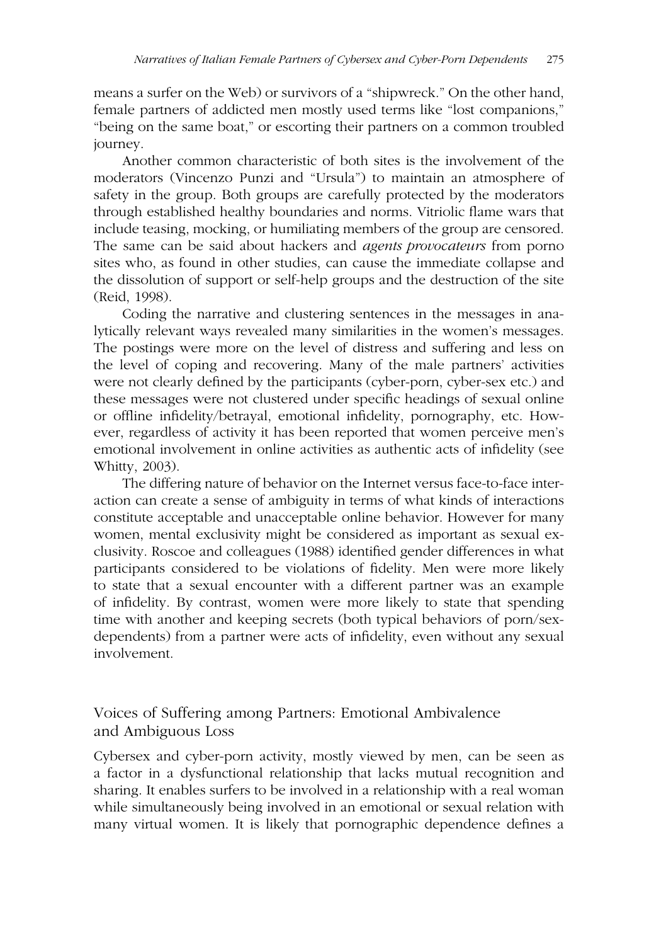means a surfer on the Web) or survivors of a "shipwreck." On the other hand, female partners of addicted men mostly used terms like "lost companions," "being on the same boat," or escorting their partners on a common troubled journey.

Another common characteristic of both sites is the involvement of the moderators (Vincenzo Punzi and "Ursula") to maintain an atmosphere of safety in the group. Both groups are carefully protected by the moderators through established healthy boundaries and norms. Vitriolic flame wars that include teasing, mocking, or humiliating members of the group are censored. The same can be said about hackers and *agents provocateurs* from porno sites who, as found in other studies, can cause the immediate collapse and the dissolution of support or self-help groups and the destruction of the site (Reid, 1998).

Coding the narrative and clustering sentences in the messages in analytically relevant ways revealed many similarities in the women's messages. The postings were more on the level of distress and suffering and less on the level of coping and recovering. Many of the male partners' activities were not clearly defined by the participants (cyber-porn, cyber-sex etc.) and these messages were not clustered under specific headings of sexual online or offline infidelity/betrayal, emotional infidelity, pornography, etc. However, regardless of activity it has been reported that women perceive men's emotional involvement in online activities as authentic acts of infidelity (see Whitty, 2003).

The differing nature of behavior on the Internet versus face-to-face interaction can create a sense of ambiguity in terms of what kinds of interactions constitute acceptable and unacceptable online behavior. However for many women, mental exclusivity might be considered as important as sexual exclusivity. Roscoe and colleagues (1988) identified gender differences in what participants considered to be violations of fidelity. Men were more likely to state that a sexual encounter with a different partner was an example of infidelity. By contrast, women were more likely to state that spending time with another and keeping secrets (both typical behaviors of porn/sexdependents) from a partner were acts of infidelity, even without any sexual involvement.

Voices of Suffering among Partners: Emotional Ambivalence and Ambiguous Loss

Cybersex and cyber-porn activity, mostly viewed by men, can be seen as a factor in a dysfunctional relationship that lacks mutual recognition and sharing. It enables surfers to be involved in a relationship with a real woman while simultaneously being involved in an emotional or sexual relation with many virtual women. It is likely that pornographic dependence defines a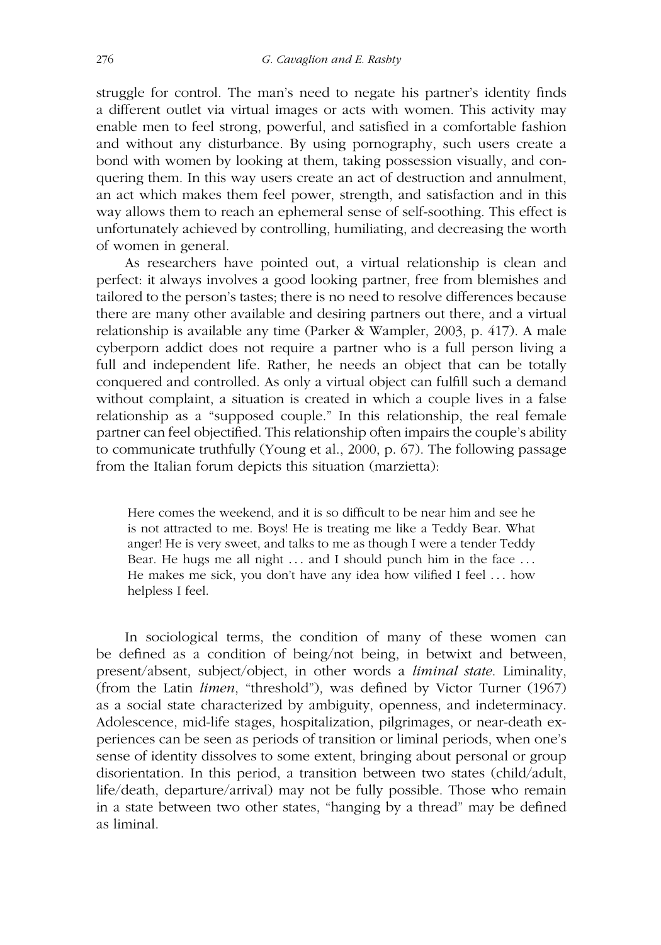struggle for control. The man's need to negate his partner's identity finds a different outlet via virtual images or acts with women. This activity may enable men to feel strong, powerful, and satisfied in a comfortable fashion and without any disturbance. By using pornography, such users create a bond with women by looking at them, taking possession visually, and conquering them. In this way users create an act of destruction and annulment, an act which makes them feel power, strength, and satisfaction and in this way allows them to reach an ephemeral sense of self-soothing. This effect is unfortunately achieved by controlling, humiliating, and decreasing the worth of women in general.

As researchers have pointed out, a virtual relationship is clean and perfect: it always involves a good looking partner, free from blemishes and tailored to the person's tastes; there is no need to resolve differences because there are many other available and desiring partners out there, and a virtual relationship is available any time (Parker & Wampler, 2003, p. 417). A male cyberporn addict does not require a partner who is a full person living a full and independent life. Rather, he needs an object that can be totally conquered and controlled. As only a virtual object can fulfill such a demand without complaint, a situation is created in which a couple lives in a false relationship as a "supposed couple." In this relationship, the real female partner can feel objectified. This relationship often impairs the couple's ability to communicate truthfully (Young et al., 2000, p. 67). The following passage from the Italian forum depicts this situation (marzietta):

Here comes the weekend, and it is so difficult to be near him and see he is not attracted to me. Boys! He is treating me like a Teddy Bear. What anger! He is very sweet, and talks to me as though I were a tender Teddy Bear. He hugs me all night ... and I should punch him in the face ... He makes me sick, you don't have any idea how vilified I feel ... how helpless I feel.

In sociological terms, the condition of many of these women can be defined as a condition of being/not being, in betwixt and between, present/absent, subject/object, in other words a *liminal state*. Liminality, (from the Latin *limen*, "threshold"), was defined by Victor Turner (1967) as a social state characterized by ambiguity, openness, and indeterminacy. Adolescence, mid-life stages, hospitalization, pilgrimages, or near-death experiences can be seen as periods of transition or liminal periods, when one's sense of identity dissolves to some extent, bringing about personal or group disorientation. In this period, a transition between two states (child/adult, life/death, departure/arrival) may not be fully possible. Those who remain in a state between two other states, "hanging by a thread" may be defined as liminal.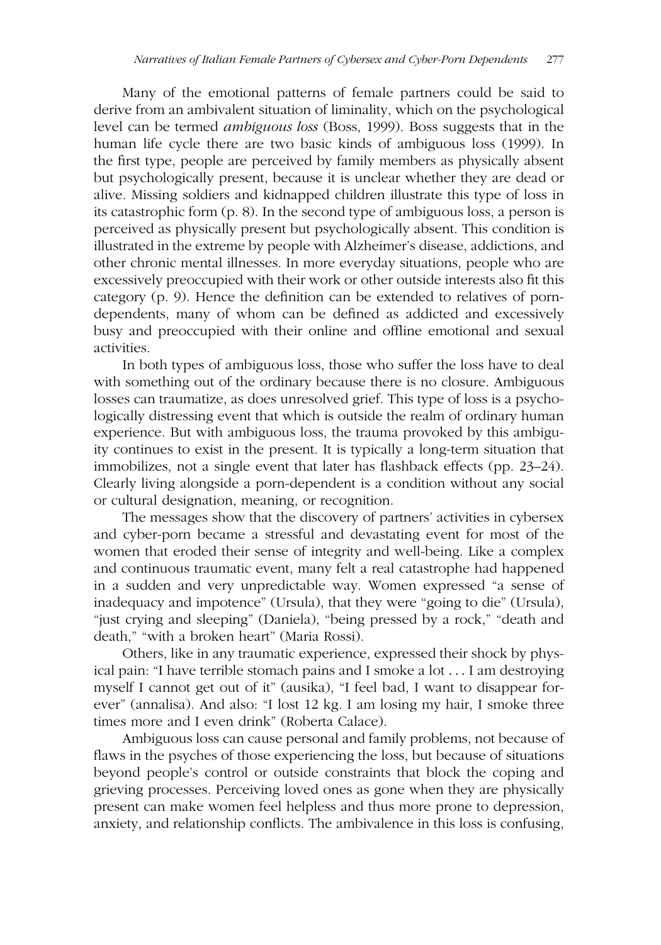Many of the emotional patterns of female partners could be said to derive from an ambivalent situation of liminality, which on the psychological level can be termed *ambiguous loss* (Boss, 1999). Boss suggests that in the human life cycle there are two basic kinds of ambiguous loss (1999). In the first type, people are perceived by family members as physically absent but psychologically present, because it is unclear whether they are dead or alive. Missing soldiers and kidnapped children illustrate this type of loss in its catastrophic form (p. 8). In the second type of ambiguous loss, a person is perceived as physically present but psychologically absent. This condition is illustrated in the extreme by people with Alzheimer's disease, addictions, and other chronic mental illnesses. In more everyday situations, people who are excessively preoccupied with their work or other outside interests also fit this category (p. 9). Hence the definition can be extended to relatives of porndependents, many of whom can be defined as addicted and excessively busy and preoccupied with their online and offline emotional and sexual activities.

In both types of ambiguous loss, those who suffer the loss have to deal with something out of the ordinary because there is no closure. Ambiguous losses can traumatize, as does unresolved grief. This type of loss is a psychologically distressing event that which is outside the realm of ordinary human experience. But with ambiguous loss, the trauma provoked by this ambiguity continues to exist in the present. It is typically a long-term situation that immobilizes, not a single event that later has flashback effects (pp. 23–24). Clearly living alongside a porn-dependent is a condition without any social or cultural designation, meaning, or recognition.

The messages show that the discovery of partners' activities in cybersex and cyber-porn became a stressful and devastating event for most of the women that eroded their sense of integrity and well-being. Like a complex and continuous traumatic event, many felt a real catastrophe had happened in a sudden and very unpredictable way. Women expressed "a sense of inadequacy and impotence" (Ursula), that they were "going to die" (Ursula), "just crying and sleeping" (Daniela), "being pressed by a rock," "death and death," "with a broken heart" (Maria Rossi).

Others, like in any traumatic experience, expressed their shock by physical pain: "I have terrible stomach pains and I smoke a lot ... I am destroying myself I cannot get out of it" (ausika), "I feel bad, I want to disappear forever" (annalisa). And also: "I lost 12 kg. I am losing my hair, I smoke three times more and I even drink" (Roberta Calace).

Ambiguous loss can cause personal and family problems, not because of flaws in the psyches of those experiencing the loss, but because of situations beyond people's control or outside constraints that block the coping and grieving processes. Perceiving loved ones as gone when they are physically present can make women feel helpless and thus more prone to depression, anxiety, and relationship conflicts. The ambivalence in this loss is confusing,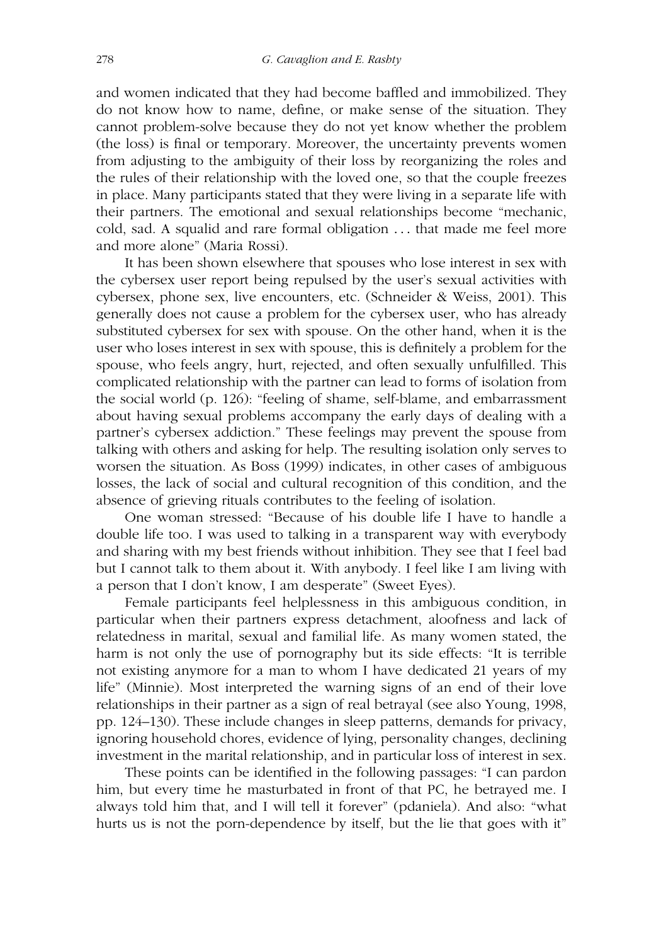and women indicated that they had become baffled and immobilized. They do not know how to name, define, or make sense of the situation. They cannot problem-solve because they do not yet know whether the problem (the loss) is final or temporary. Moreover, the uncertainty prevents women from adjusting to the ambiguity of their loss by reorganizing the roles and the rules of their relationship with the loved one, so that the couple freezes in place. Many participants stated that they were living in a separate life with their partners. The emotional and sexual relationships become "mechanic, cold, sad. A squalid and rare formal obligation ... that made me feel more and more alone" (Maria Rossi).

It has been shown elsewhere that spouses who lose interest in sex with the cybersex user report being repulsed by the user's sexual activities with cybersex, phone sex, live encounters, etc. (Schneider & Weiss, 2001). This generally does not cause a problem for the cybersex user, who has already substituted cybersex for sex with spouse. On the other hand, when it is the user who loses interest in sex with spouse, this is definitely a problem for the spouse, who feels angry, hurt, rejected, and often sexually unfulfilled. This complicated relationship with the partner can lead to forms of isolation from the social world (p. 126): "feeling of shame, self-blame, and embarrassment about having sexual problems accompany the early days of dealing with a partner's cybersex addiction." These feelings may prevent the spouse from talking with others and asking for help. The resulting isolation only serves to worsen the situation. As Boss (1999) indicates, in other cases of ambiguous losses, the lack of social and cultural recognition of this condition, and the absence of grieving rituals contributes to the feeling of isolation.

One woman stressed: "Because of his double life I have to handle a double life too. I was used to talking in a transparent way with everybody and sharing with my best friends without inhibition. They see that I feel bad but I cannot talk to them about it. With anybody. I feel like I am living with a person that I don't know, I am desperate" (Sweet Eyes).

Female participants feel helplessness in this ambiguous condition, in particular when their partners express detachment, aloofness and lack of relatedness in marital, sexual and familial life. As many women stated, the harm is not only the use of pornography but its side effects: "It is terrible not existing anymore for a man to whom I have dedicated 21 years of my life" (Minnie). Most interpreted the warning signs of an end of their love relationships in their partner as a sign of real betrayal (see also Young, 1998, pp. 124–130). These include changes in sleep patterns, demands for privacy, ignoring household chores, evidence of lying, personality changes, declining investment in the marital relationship, and in particular loss of interest in sex.

These points can be identified in the following passages: "I can pardon him, but every time he masturbated in front of that PC, he betrayed me. I always told him that, and I will tell it forever" (pdaniela). And also: "what hurts us is not the porn-dependence by itself, but the lie that goes with it"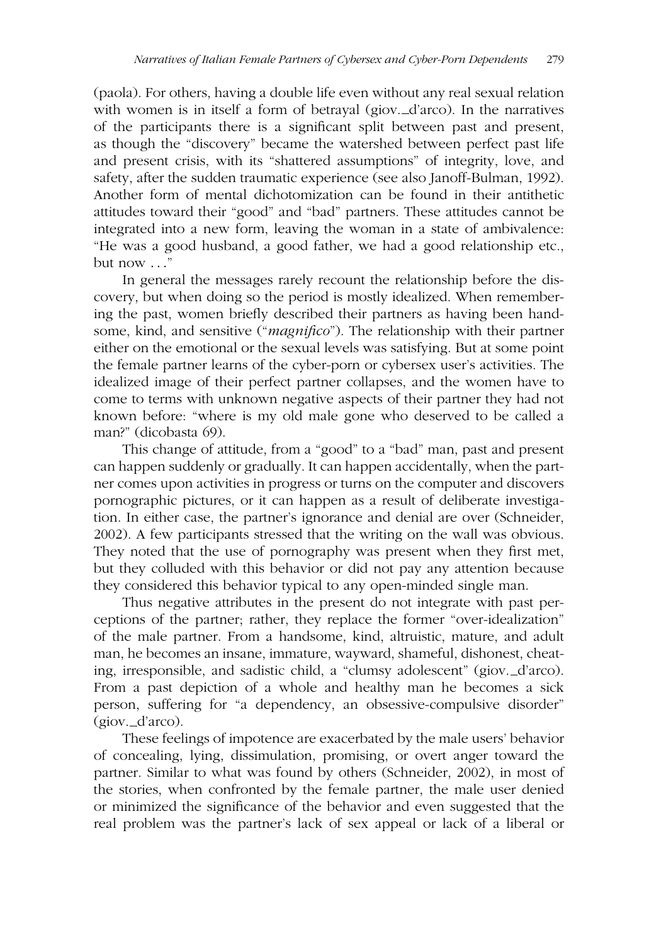(paola). For others, having a double life even without any real sexual relation with women is in itself a form of betrayal (giov.\_d'arco). In the narratives of the participants there is a significant split between past and present, as though the "discovery" became the watershed between perfect past life and present crisis, with its "shattered assumptions" of integrity, love, and safety, after the sudden traumatic experience (see also Janoff-Bulman, 1992). Another form of mental dichotomization can be found in their antithetic attitudes toward their "good" and "bad" partners. These attitudes cannot be integrated into a new form, leaving the woman in a state of ambivalence: "He was a good husband, a good father, we had a good relationship etc., but now ..."

In general the messages rarely recount the relationship before the discovery, but when doing so the period is mostly idealized. When remembering the past, women briefly described their partners as having been handsome, kind, and sensitive ("*magnifico*"). The relationship with their partner either on the emotional or the sexual levels was satisfying. But at some point the female partner learns of the cyber-porn or cybersex user's activities. The idealized image of their perfect partner collapses, and the women have to come to terms with unknown negative aspects of their partner they had not known before: "where is my old male gone who deserved to be called a man?" (dicobasta 69).

This change of attitude, from a "good" to a "bad" man, past and present can happen suddenly or gradually. It can happen accidentally, when the partner comes upon activities in progress or turns on the computer and discovers pornographic pictures, or it can happen as a result of deliberate investigation. In either case, the partner's ignorance and denial are over (Schneider, 2002). A few participants stressed that the writing on the wall was obvious. They noted that the use of pornography was present when they first met, but they colluded with this behavior or did not pay any attention because they considered this behavior typical to any open-minded single man.

Thus negative attributes in the present do not integrate with past perceptions of the partner; rather, they replace the former "over-idealization" of the male partner. From a handsome, kind, altruistic, mature, and adult man, he becomes an insane, immature, wayward, shameful, dishonest, cheating, irresponsible, and sadistic child, a "clumsy adolescent" (giov. d'arco). From a past depiction of a whole and healthy man he becomes a sick person, suffering for "a dependency, an obsessive-compulsive disorder" (giov. d'arco).

These feelings of impotence are exacerbated by the male users' behavior of concealing, lying, dissimulation, promising, or overt anger toward the partner. Similar to what was found by others (Schneider, 2002), in most of the stories, when confronted by the female partner, the male user denied or minimized the significance of the behavior and even suggested that the real problem was the partner's lack of sex appeal or lack of a liberal or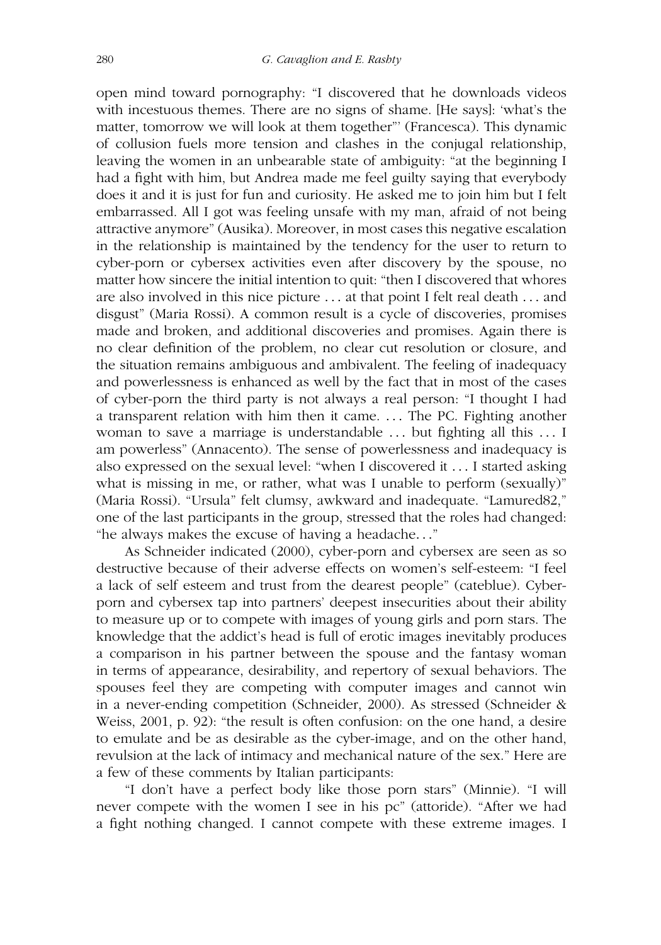open mind toward pornography: "I discovered that he downloads videos with incestuous themes. There are no signs of shame. [He says]: 'what's the matter, tomorrow we will look at them together"' (Francesca). This dynamic of collusion fuels more tension and clashes in the conjugal relationship, leaving the women in an unbearable state of ambiguity: "at the beginning I had a fight with him, but Andrea made me feel guilty saying that everybody does it and it is just for fun and curiosity. He asked me to join him but I felt embarrassed. All I got was feeling unsafe with my man, afraid of not being attractive anymore" (Ausika). Moreover, in most cases this negative escalation in the relationship is maintained by the tendency for the user to return to cyber-porn or cybersex activities even after discovery by the spouse, no matter how sincere the initial intention to quit: "then I discovered that whores are also involved in this nice picture ... at that point I felt real death ... and disgust" (Maria Rossi). A common result is a cycle of discoveries, promises made and broken, and additional discoveries and promises. Again there is no clear definition of the problem, no clear cut resolution or closure, and the situation remains ambiguous and ambivalent. The feeling of inadequacy and powerlessness is enhanced as well by the fact that in most of the cases of cyber-porn the third party is not always a real person: "I thought I had a transparent relation with him then it came. ... The PC. Fighting another woman to save a marriage is understandable ... but fighting all this ... I am powerless" (Annacento). The sense of powerlessness and inadequacy is also expressed on the sexual level: "when I discovered it ... I started asking what is missing in me, or rather, what was I unable to perform (sexually)" (Maria Rossi). "Ursula" felt clumsy, awkward and inadequate. "Lamured82," one of the last participants in the group, stressed that the roles had changed: "he always makes the excuse of having a headache..."

As Schneider indicated (2000), cyber-porn and cybersex are seen as so destructive because of their adverse effects on women's self-esteem: "I feel a lack of self esteem and trust from the dearest people" (cateblue). Cyberporn and cybersex tap into partners' deepest insecurities about their ability to measure up or to compete with images of young girls and porn stars. The knowledge that the addict's head is full of erotic images inevitably produces a comparison in his partner between the spouse and the fantasy woman in terms of appearance, desirability, and repertory of sexual behaviors. The spouses feel they are competing with computer images and cannot win in a never-ending competition (Schneider, 2000). As stressed (Schneider & Weiss, 2001, p. 92): "the result is often confusion: on the one hand, a desire to emulate and be as desirable as the cyber-image, and on the other hand, revulsion at the lack of intimacy and mechanical nature of the sex." Here are a few of these comments by Italian participants:

"I don't have a perfect body like those porn stars" (Minnie). "I will never compete with the women I see in his pc" (attoride). "After we had a fight nothing changed. I cannot compete with these extreme images. I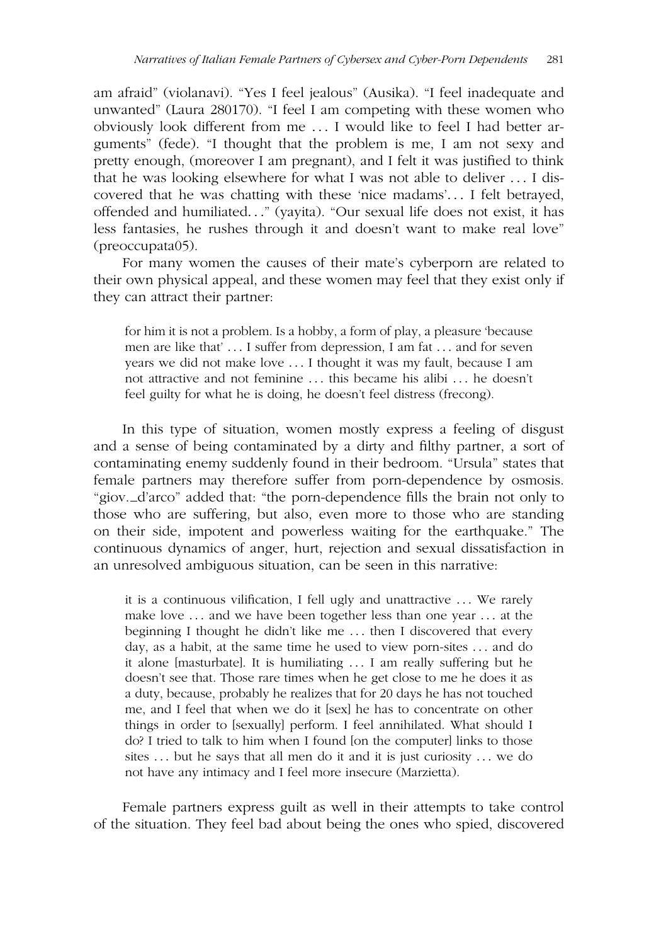am afraid" (violanavi). "Yes I feel jealous" (Ausika). "I feel inadequate and unwanted" (Laura 280170). "I feel I am competing with these women who obviously look different from me ... I would like to feel I had better arguments" (fede). "I thought that the problem is me, I am not sexy and pretty enough, (moreover I am pregnant), and I felt it was justified to think that he was looking elsewhere for what I was not able to deliver ... I discovered that he was chatting with these 'nice madams'... I felt betrayed, offended and humiliated..." (yayita). "Our sexual life does not exist, it has less fantasies, he rushes through it and doesn't want to make real love" (preoccupata05).

For many women the causes of their mate's cyberporn are related to their own physical appeal, and these women may feel that they exist only if they can attract their partner:

for him it is not a problem. Is a hobby, a form of play, a pleasure 'because men are like that' ... I suffer from depression, I am fat ... and for seven years we did not make love ... I thought it was my fault, because I am not attractive and not feminine ... this became his alibi ... he doesn't feel guilty for what he is doing, he doesn't feel distress (frecong).

In this type of situation, women mostly express a feeling of disgust and a sense of being contaminated by a dirty and filthy partner, a sort of contaminating enemy suddenly found in their bedroom. "Ursula" states that female partners may therefore suffer from porn-dependence by osmosis. "giov. d'arco" added that: "the porn-dependence fills the brain not only to those who are suffering, but also, even more to those who are standing on their side, impotent and powerless waiting for the earthquake." The continuous dynamics of anger, hurt, rejection and sexual dissatisfaction in an unresolved ambiguous situation, can be seen in this narrative:

it is a continuous vilification, I fell ugly and unattractive ... We rarely make love ... and we have been together less than one year ... at the beginning I thought he didn't like me ... then I discovered that every day, as a habit, at the same time he used to view porn-sites ... and do it alone [masturbate]. It is humiliating ... I am really suffering but he doesn't see that. Those rare times when he get close to me he does it as a duty, because, probably he realizes that for 20 days he has not touched me, and I feel that when we do it [sex] he has to concentrate on other things in order to [sexually] perform. I feel annihilated. What should I do? I tried to talk to him when I found [on the computer] links to those sites ... but he says that all men do it and it is just curiosity ... we do not have any intimacy and I feel more insecure (Marzietta).

Female partners express guilt as well in their attempts to take control of the situation. They feel bad about being the ones who spied, discovered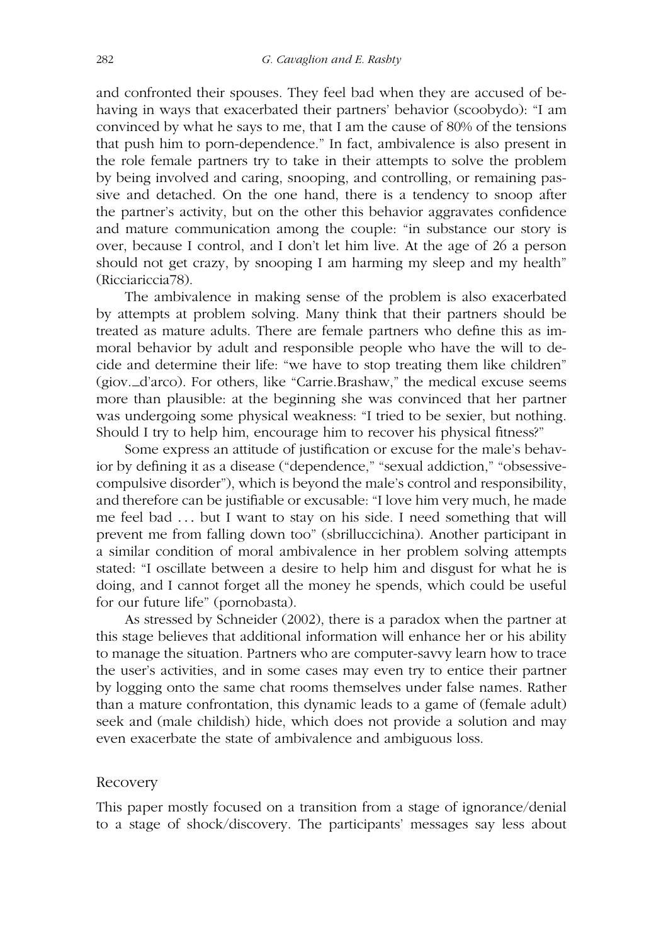and confronted their spouses. They feel bad when they are accused of behaving in ways that exacerbated their partners' behavior (scoobydo): "I am convinced by what he says to me, that I am the cause of 80% of the tensions that push him to porn-dependence." In fact, ambivalence is also present in the role female partners try to take in their attempts to solve the problem by being involved and caring, snooping, and controlling, or remaining passive and detached. On the one hand, there is a tendency to snoop after the partner's activity, but on the other this behavior aggravates confidence and mature communication among the couple: "in substance our story is over, because I control, and I don't let him live. At the age of 26 a person should not get crazy, by snooping I am harming my sleep and my health" (Ricciariccia78).

The ambivalence in making sense of the problem is also exacerbated by attempts at problem solving. Many think that their partners should be treated as mature adults. There are female partners who define this as immoral behavior by adult and responsible people who have the will to decide and determine their life: "we have to stop treating them like children" (giov. d'arco). For others, like "Carrie.Brashaw," the medical excuse seems more than plausible: at the beginning she was convinced that her partner was undergoing some physical weakness: "I tried to be sexier, but nothing. Should I try to help him, encourage him to recover his physical fitness?"

Some express an attitude of justification or excuse for the male's behavior by defining it as a disease ("dependence," "sexual addiction," "obsessivecompulsive disorder"), which is beyond the male's control and responsibility, and therefore can be justifiable or excusable: "I love him very much, he made me feel bad ... but I want to stay on his side. I need something that will prevent me from falling down too" (sbrilluccichina). Another participant in a similar condition of moral ambivalence in her problem solving attempts stated: "I oscillate between a desire to help him and disgust for what he is doing, and I cannot forget all the money he spends, which could be useful for our future life" (pornobasta).

As stressed by Schneider (2002), there is a paradox when the partner at this stage believes that additional information will enhance her or his ability to manage the situation. Partners who are computer-savvy learn how to trace the user's activities, and in some cases may even try to entice their partner by logging onto the same chat rooms themselves under false names. Rather than a mature confrontation, this dynamic leads to a game of (female adult) seek and (male childish) hide, which does not provide a solution and may even exacerbate the state of ambivalence and ambiguous loss.

## Recovery

This paper mostly focused on a transition from a stage of ignorance/denial to a stage of shock/discovery. The participants' messages say less about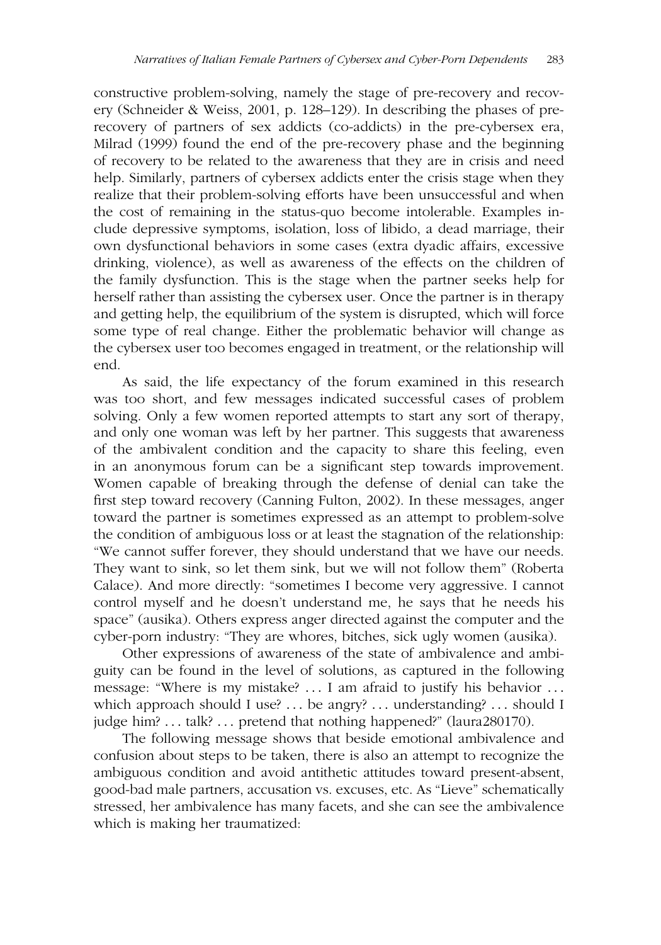constructive problem-solving, namely the stage of pre-recovery and recovery (Schneider & Weiss, 2001, p. 128–129). In describing the phases of prerecovery of partners of sex addicts (co-addicts) in the pre-cybersex era, Milrad (1999) found the end of the pre-recovery phase and the beginning of recovery to be related to the awareness that they are in crisis and need help. Similarly, partners of cybersex addicts enter the crisis stage when they realize that their problem-solving efforts have been unsuccessful and when the cost of remaining in the status-quo become intolerable. Examples include depressive symptoms, isolation, loss of libido, a dead marriage, their own dysfunctional behaviors in some cases (extra dyadic affairs, excessive drinking, violence), as well as awareness of the effects on the children of the family dysfunction. This is the stage when the partner seeks help for herself rather than assisting the cybersex user. Once the partner is in therapy and getting help, the equilibrium of the system is disrupted, which will force some type of real change. Either the problematic behavior will change as the cybersex user too becomes engaged in treatment, or the relationship will end.

As said, the life expectancy of the forum examined in this research was too short, and few messages indicated successful cases of problem solving. Only a few women reported attempts to start any sort of therapy, and only one woman was left by her partner. This suggests that awareness of the ambivalent condition and the capacity to share this feeling, even in an anonymous forum can be a significant step towards improvement. Women capable of breaking through the defense of denial can take the first step toward recovery (Canning Fulton, 2002). In these messages, anger toward the partner is sometimes expressed as an attempt to problem-solve the condition of ambiguous loss or at least the stagnation of the relationship: "We cannot suffer forever, they should understand that we have our needs. They want to sink, so let them sink, but we will not follow them" (Roberta Calace). And more directly: "sometimes I become very aggressive. I cannot control myself and he doesn't understand me, he says that he needs his space" (ausika). Others express anger directed against the computer and the cyber-porn industry: "They are whores, bitches, sick ugly women (ausika).

Other expressions of awareness of the state of ambivalence and ambiguity can be found in the level of solutions, as captured in the following message: "Where is my mistake? ... I am afraid to justify his behavior ... which approach should I use? ... be angry? ... understanding? ... should I judge him? ... talk? ... pretend that nothing happened?" (laura280170).

The following message shows that beside emotional ambivalence and confusion about steps to be taken, there is also an attempt to recognize the ambiguous condition and avoid antithetic attitudes toward present-absent, good-bad male partners, accusation vs. excuses, etc. As "Lieve" schematically stressed, her ambivalence has many facets, and she can see the ambivalence which is making her traumatized: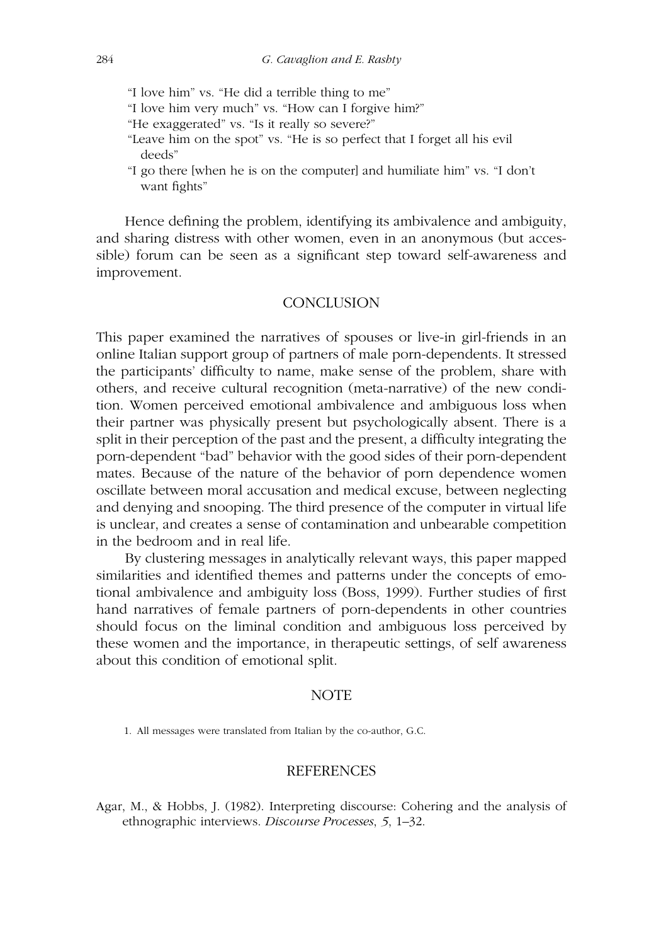- "I love him" vs. "He did a terrible thing to me"
- "I love him very much" vs. "How can I forgive him?"
- "He exaggerated" vs. "Is it really so severe?"
- "Leave him on the spot" vs. "He is so perfect that I forget all his evil deeds"
- "I go there [when he is on the computer] and humiliate him" vs. "I don't want fights"

Hence defining the problem, identifying its ambivalence and ambiguity, and sharing distress with other women, even in an anonymous (but accessible) forum can be seen as a significant step toward self-awareness and improvement.

# **CONCLUSION**

This paper examined the narratives of spouses or live-in girl-friends in an online Italian support group of partners of male porn-dependents. It stressed the participants' difficulty to name, make sense of the problem, share with others, and receive cultural recognition (meta-narrative) of the new condition. Women perceived emotional ambivalence and ambiguous loss when their partner was physically present but psychologically absent. There is a split in their perception of the past and the present, a difficulty integrating the porn-dependent "bad" behavior with the good sides of their porn-dependent mates. Because of the nature of the behavior of porn dependence women oscillate between moral accusation and medical excuse, between neglecting and denying and snooping. The third presence of the computer in virtual life is unclear, and creates a sense of contamination and unbearable competition in the bedroom and in real life.

By clustering messages in analytically relevant ways, this paper mapped similarities and identified themes and patterns under the concepts of emotional ambivalence and ambiguity loss (Boss, 1999). Further studies of first hand narratives of female partners of porn-dependents in other countries should focus on the liminal condition and ambiguous loss perceived by these women and the importance, in therapeutic settings, of self awareness about this condition of emotional split.

# **NOTE**

1. All messages were translated from Italian by the co-author, G.C.

## **REFERENCES**

Agar, M., & Hobbs, J. (1982). Interpreting discourse: Cohering and the analysis of ethnographic interviews. *Discourse Processes*, *5*, 1–32.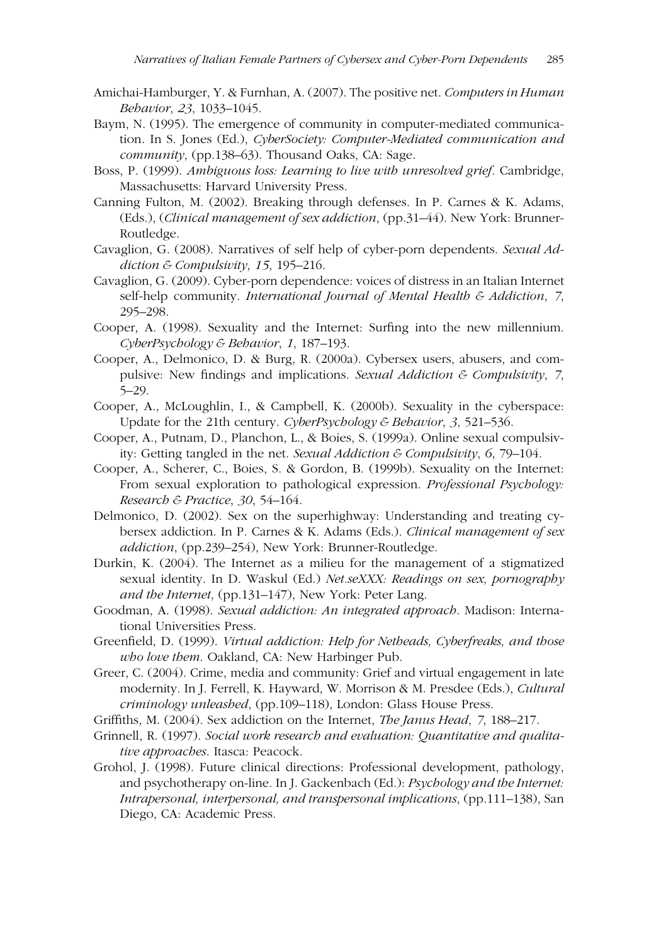- Amichai-Hamburger, Y. & Furnhan, A. (2007). The positive net. *Computers in Human Behavior*, *23*, 1033–1045.
- Baym, N. (1995). The emergence of community in computer-mediated communication. In S. Jones (Ed.), *CyberSociety: Computer-Mediated communication and community*, (pp.138–63). Thousand Oaks, CA: Sage.
- Boss, P. (1999). *Ambiguous loss: Learning to live with unresolved grief*. Cambridge, Massachusetts: Harvard University Press.
- Canning Fulton, M. (2002). Breaking through defenses. In P. Carnes & K. Adams, (Eds.), (*Clinical management of sex addiction*, (pp.31–44). New York: Brunner-Routledge.
- Cavaglion, G. (2008). Narratives of self help of cyber-porn dependents. *Sexual Addiction & Compulsivity*, *15*, 195–216.
- Cavaglion, G. (2009). Cyber-porn dependence: voices of distress in an Italian Internet self-help community. *International Journal of Mental Health & Addiction*, *7*, 295–298.
- Cooper, A. (1998). Sexuality and the Internet: Surfing into the new millennium. *CyberPsychology & Behavior*, *1*, 187–193.
- Cooper, A., Delmonico, D. & Burg, R. (2000a). Cybersex users, abusers, and compulsive: New findings and implications. *Sexual Addiction & Compulsivity*, *7*, 5–29.
- Cooper, A., McLoughlin, I., & Campbell, K. (2000b). Sexuality in the cyberspace: Update for the 21th century. *CyberPsychology & Behavior*, *3*, 521–536.
- Cooper, A., Putnam, D., Planchon, L., & Boies, S. (1999a). Online sexual compulsivity: Getting tangled in the net. *Sexual Addiction & Compulsivity*, *6*, 79–104.
- Cooper, A., Scherer, C., Boies, S. & Gordon, B. (1999b). Sexuality on the Internet: From sexual exploration to pathological expression. *Professional Psychology: Research & Practice*, *30*, 54–164.
- Delmonico, D. (2002). Sex on the superhighway: Understanding and treating cybersex addiction. In P. Carnes & K. Adams (Eds.). *Clinical management of sex addiction*, (pp.239–254), New York: Brunner-Routledge.
- Durkin, K. (2004). The Internet as a milieu for the management of a stigmatized sexual identity. In D. Waskul (Ed.) *Net.seXXX: Readings on sex, pornography and the Internet*, (pp.131–147), New York: Peter Lang.
- Goodman, A. (1998). *Sexual addiction: An integrated approach*. Madison: International Universities Press.
- Greenfield, D. (1999). *Virtual addiction: Help for Netheads, Cyberfreaks, and those who love them*. Oakland, CA: New Harbinger Pub.
- Greer, C. (2004). Crime, media and community: Grief and virtual engagement in late modernity. In J. Ferrell, K. Hayward, W. Morrison & M. Presdee (Eds.), *Cultural criminology unleashed*, (pp.109–118), London: Glass House Press.
- Griffiths, M. (2004). Sex addiction on the Internet, *The Janus Head*, *7*, 188–217.
- Grinnell, R. (1997). *Social work research and evaluation: Quantitative and qualitative approaches*. Itasca: Peacock.
- Grohol, J. (1998). Future clinical directions: Professional development, pathology, and psychotherapy on-line. In J. Gackenbach (Ed.): *Psychology and the Internet: Intrapersonal, interpersonal, and transpersonal implications*, (pp.111–138), San Diego, CA: Academic Press.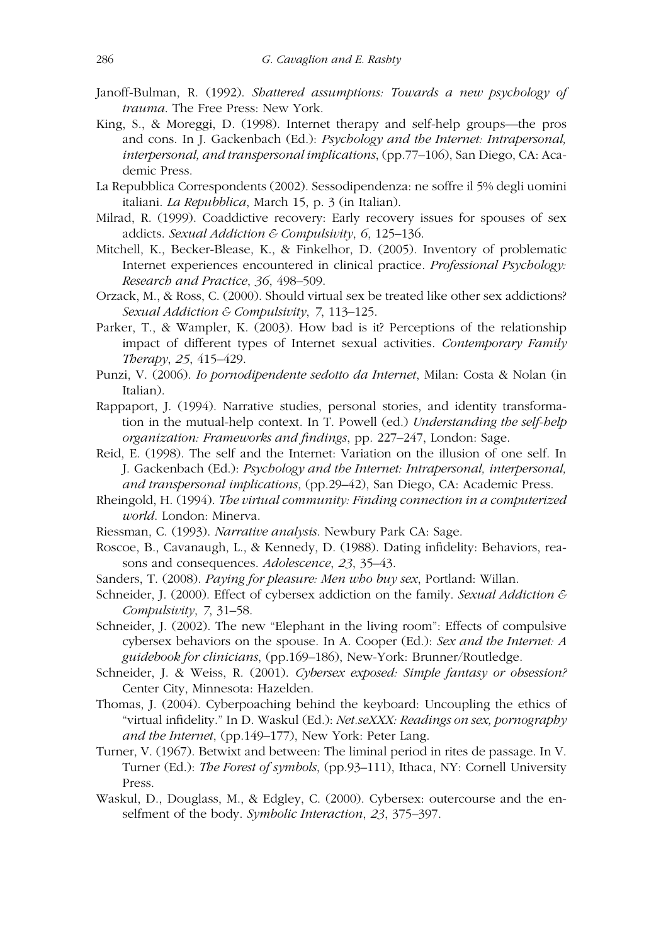- Janoff-Bulman, R. (1992). *Shattered assumptions: Towards a new psychology of trauma*. The Free Press: New York.
- King, S., & Moreggi, D. (1998). Internet therapy and self-help groups—the pros and cons. In J. Gackenbach (Ed.): *Psychology and the Internet: Intrapersonal, interpersonal, and transpersonal implications*, (pp.77–106), San Diego, CA: Academic Press.
- La Repubblica Correspondents (2002). Sessodipendenza: ne soffre il 5% degli uomini italiani. *La Repubblica*, March 15, p. 3 (in Italian).
- Milrad, R. (1999). Coaddictive recovery: Early recovery issues for spouses of sex addicts. *Sexual Addiction & Compulsivity*, *6*, 125–136.
- Mitchell, K., Becker-Blease, K., & Finkelhor, D. (2005). Inventory of problematic Internet experiences encountered in clinical practice. *Professional Psychology: Research and Practice*, *36*, 498–509.
- Orzack, M., & Ross, C. (2000). Should virtual sex be treated like other sex addictions? *Sexual Addiction & Compulsivity*, *7*, 113–125.
- Parker, T., & Wampler, K. (2003). How bad is it? Perceptions of the relationship impact of different types of Internet sexual activities. *Contemporary Family Therapy*, *25*, 415–429.
- Punzi, V. (2006). *Io pornodipendente sedotto da Internet*, Milan: Costa & Nolan (in Italian).
- Rappaport, J. (1994). Narrative studies, personal stories, and identity transformation in the mutual-help context. In T. Powell (ed.) *Understanding the self-help organization: Frameworks and findings*, pp. 227–247, London: Sage.
- Reid, E. (1998). The self and the Internet: Variation on the illusion of one self. In J. Gackenbach (Ed.): *Psychology and the Internet: Intrapersonal, interpersonal, and transpersonal implications*, (pp.29–42), San Diego, CA: Academic Press.
- Rheingold, H. (1994). *The virtual community: Finding connection in a computerized world*. London: Minerva.
- Riessman, C. (1993). *Narrative analysis*. Newbury Park CA: Sage.
- Roscoe, B., Cavanaugh, L., & Kennedy, D. (1988). Dating infidelity: Behaviors, reasons and consequences. *Adolescence*, *23*, 35–43.
- Sanders, T. (2008). *Paying for pleasure: Men who buy sex*, Portland: Willan.
- Schneider, J. (2000). Effect of cybersex addiction on the family. *Sexual Addiction & Compulsivity*, *7*, 31–58.
- Schneider, J. (2002). The new "Elephant in the living room": Effects of compulsive cybersex behaviors on the spouse. In A. Cooper (Ed.): *Sex and the Internet: A guidebook for clinicians*, (pp.169–186), New-York: Brunner/Routledge.
- Schneider, J. & Weiss, R. (2001). *Cybersex exposed: Simple fantasy or obsession?* Center City, Minnesota: Hazelden.
- Thomas, J. (2004). Cyberpoaching behind the keyboard: Uncoupling the ethics of "virtual infidelity." In D. Waskul (Ed.): *Net.seXXX: Readings on sex, pornography and the Internet*, (pp.149–177), New York: Peter Lang.
- Turner, V. (1967). Betwixt and between: The liminal period in rites de passage. In V. Turner (Ed.): *The Forest of symbols*, (pp.93–111), Ithaca, NY: Cornell University Press.
- Waskul, D., Douglass, M., & Edgley, C. (2000). Cybersex: outercourse and the enselfment of the body. *Symbolic Interaction*, *23*, 375–397.